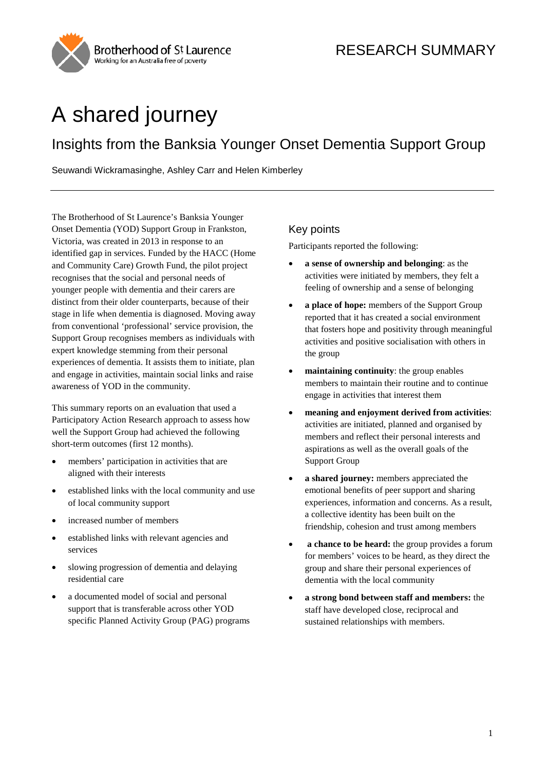

# A shared journey

## Insights from the Banksia Younger Onset Dementia Support Group

Seuwandi Wickramasinghe, Ashley Carr and Helen Kimberley

The Brotherhood of St Laurence's Banksia Younger Onset Dementia (YOD) Support Group in Frankston, Victoria, was created in 2013 in response to an identified gap in services. Funded by the HACC (Home and Community Care) Growth Fund, the pilot project recognises that the social and personal needs of younger people with dementia and their carers are distinct from their older counterparts, because of their stage in life when dementia is diagnosed. Moving away from conventional 'professional' service provision, the Support Group recognises members as individuals with expert knowledge stemming from their personal experiences of dementia. It assists them to initiate, plan and engage in activities, maintain social links and raise awareness of YOD in the community.

This summary reports on an evaluation that used a Participatory Action Research approach to assess how well the Support Group had achieved the following short-term outcomes (first 12 months).

- members' participation in activities that are aligned with their interests
- established links with the local community and use of local community support
- increased number of members
- established links with relevant agencies and services
- slowing progression of dementia and delaying residential care
- <span id="page-0-0"></span>a documented model of social and personal support that is transferable across other YOD specific Planned Activity Group (PAG) programs

## Key points

Participants reported the following:

- **a sense of ownership and belonging**: as the activities were initiated by members, they felt a feeling of ownership and a sense of belonging
- **a place of hope:** members of the Support Group reported that it has created a social environment that fosters hope and positivity through meaningful activities and positive socialisation with others in the group
- **maintaining continuity**: the group enables members to maintain their routine and to continue engage in activities that interest them
- **meaning and enjoyment derived from activities**: activities are initiated, planned and organised by members and reflect their personal interests and aspirations as well as the overall goals of the Support Group
- **a shared journey:** members appreciated the emotional benefits of peer support and sharing experiences, information and concerns. As a result, a collective identity has been built on the friendship, cohesion and trust among members
- **a chance to be heard:** the group provides a forum for members' voices to be heard, as they direct the group and share their personal experiences of dementia with the local community
- **a strong bond between staff and members:** the staff have developed close, reciprocal and sustained relationships with members.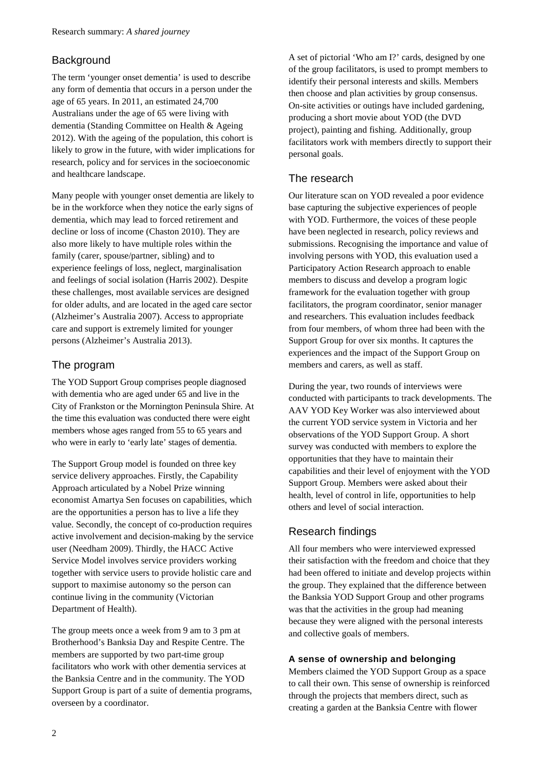## **Background**

The term 'younger onset dementia' is used to describe any form of dementia that occurs in a person under the age of 65 years. In 2011, an estimated 24,700 Australians under the age of 65 were living with dementia (Standing Committee on Health & Ageing 2012). With the ageing of the population, this cohort is likely to grow in the future, with wider implications for research, policy and for services in the socioeconomic and healthcare landscape.

Many people with younger onset dementia are likely to be in the workforce when they notice the early signs of dementia, which may lead to forced retirement and decline or loss of income (Chaston 2010). They are also more likely to have multiple roles within the family (carer, spouse/partner, sibling) and to experience feelings of loss, neglect, marginalisation and feelings of social isolation (Harris 2002). Despite these challenges, most available services are designed for older adults, and are located in the aged care sector (Alzheimer's Australia 2007). Access to appropriate care and support is extremely limited for younger persons (Alzheimer's Australia 2013).

## The program

The YOD Support Group comprises people diagnosed with dementia who are aged under 65 and live in the City of Frankston or the Mornington Peninsula Shire. At the time this evaluation was conducted there were eight members whose ages ranged from 55 to 65 years and who were in early to 'early late' stages of dementia.

The Support Group model is founded on three key service delivery approaches. Firstly, the Capability Approach articulated by a Nobel Prize winning economist Amartya Sen focuses on capabilities, which are the opportunities a person has to live a life they value. Secondly, the concept of co-production requires active involvement and decision-making by the service user (Needham 2009). Thirdly, the HACC Active Service Model involves service providers working together with service users to provide holistic care and support to maximise autonomy so the person can continue living in the community (Victorian Department of Health).

The group meets once a week from 9 am to 3 pm at Brotherhood's Banksia Day and Respite Centre. The members are supported by two part-time group facilitators who work with other dementia services at the Banksia Centre and in the community. The YOD Support Group is part of a suite of dementia programs, overseen by a coordinator.

A set of pictorial 'Who am I?' cards, designed by one of the group facilitators, is used to prompt members to identify their personal interests and skills. Members then choose and plan activities by group consensus. On-site activities or outings have included gardening, producing a short movie about YOD (the DVD project), painting and fishing. Additionally, group facilitators work with members directly to support their personal goals.

## The research

Our literature scan on YOD revealed a poor evidence base capturing the subjective experiences of people with YOD. Furthermore, the voices of these people have been neglected in research, policy reviews and submissions. Recognising the importance and value of involving persons with YOD, this evaluation used a Participatory Action Research approach to enable members to discuss and develop a program logic framework for the evaluation together with group facilitators, the program coordinator, senior manager and researchers. This evaluation includes feedback from four members, of whom three had been with the Support Group for over six months. It captures the experiences and the impact of the Support Group on members and carers, as well as staff.

During the year, two rounds of interviews were conducted with participants to track developments. The AAV YOD Key Worker was also interviewed about the current YOD service system in Victoria and her observations of the YOD Support Group. A short survey was conducted with members to explore the opportunities that they have to maintain their capabilities and their level of enjoyment with the YOD Support Group. Members were asked about their health, level of control in life, opportunities to help others and level of social interaction.

## Research findings

All four members who were interviewed expressed their satisfaction with the freedom and choice that they had been offered to initiate and develop projects within the group. They explained that the difference between the Banksia YOD Support Group and other programs was that the activities in the group had meaning because they were aligned with the personal interests and collective goals of members.

#### **A sense of ownership and belonging**

Members claimed the YOD Support Group as a space to call their own. This sense of ownership is reinforced through the projects that members direct, such as creating a garden at the Banksia Centre with flower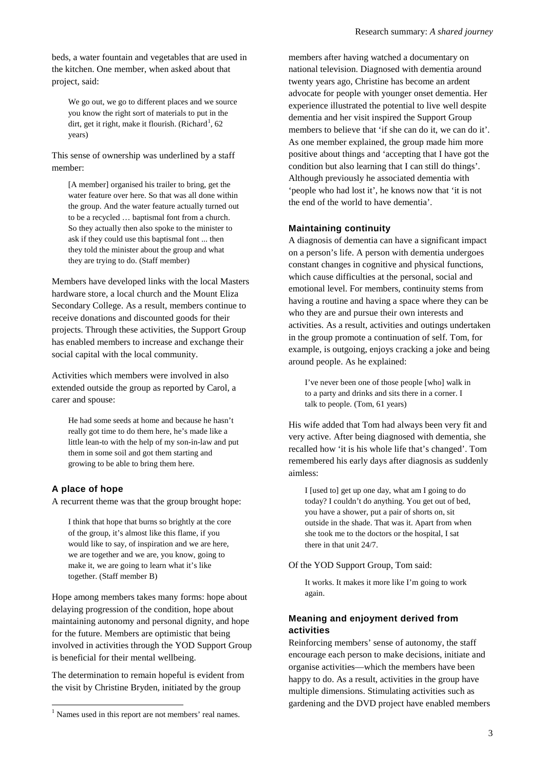beds, a water fountain and vegetables that are used in the kitchen. One member, when asked about that project, said:

We go out, we go to different places and we source you know the right sort of materials to put in the dirt, get it right, make it flourish. (Richard<sup>[1](#page-0-0)</sup>, 62 years)

This sense of ownership was underlined by a staff member:

[A member] organised his trailer to bring, get the water feature over here. So that was all done within the group. And the water feature actually turned out to be a recycled … baptismal font from a church. So they actually then also spoke to the minister to ask if they could use this baptismal font ... then they told the minister about the group and what they are trying to do. (Staff member)

Members have developed links with the local Masters hardware store, a local church and the Mount Eliza Secondary College. As a result, members continue to receive donations and discounted goods for their projects. Through these activities, the Support Group has enabled members to increase and exchange their social capital with the local community.

Activities which members were involved in also extended outside the group as reported by Carol, a carer and spouse:

He had some seeds at home and because he hasn't really got time to do them here, he's made like a little lean-to with the help of my son-in-law and put them in some soil and got them starting and growing to be able to bring them here.

#### **A place of hope**

A recurrent theme was that the group brought hope:

I think that hope that burns so brightly at the core of the group, it's almost like this flame, if you would like to say, of inspiration and we are here, we are together and we are, you know, going to make it, we are going to learn what it's like together. (Staff member B)

Hope among members takes many forms: hope about delaying progression of the condition, hope about maintaining autonomy and personal dignity, and hope for the future. Members are optimistic that being involved in activities through the YOD Support Group is beneficial for their mental wellbeing.

The determination to remain hopeful is evident from the visit by Christine Bryden, initiated by the group

members after having watched a documentary on national television. Diagnosed with dementia around twenty years ago, Christine has become an ardent advocate for people with younger onset dementia. Her experience illustrated the potential to live well despite dementia and her visit inspired the Support Group members to believe that 'if she can do it, we can do it'. As one member explained, the group made him more positive about things and 'accepting that I have got the condition but also learning that I can still do things'. Although previously he associated dementia with 'people who had lost it', he knows now that 'it is not the end of the world to have dementia'.

#### **Maintaining continuity**

A diagnosis of dementia can have a significant impact on a person's life. A person with dementia undergoes constant changes in cognitive and physical functions, which cause difficulties at the personal, social and emotional level. For members, continuity stems from having a routine and having a space where they can be who they are and pursue their own interests and activities. As a result, activities and outings undertaken in the group promote a continuation of self. Tom, for example, is outgoing, enjoys cracking a joke and being around people. As he explained:

I've never been one of those people [who] walk in to a party and drinks and sits there in a corner. I talk to people. (Tom, 61 years)

His wife added that Tom had always been very fit and very active. After being diagnosed with dementia, she recalled how 'it is his whole life that's changed'. Tom remembered his early days after diagnosis as suddenly aimless:

I [used to] get up one day, what am I going to do today? I couldn't do anything. You get out of bed, you have a shower, put a pair of shorts on, sit outside in the shade. That was it. Apart from when she took me to the doctors or the hospital, I sat there in that unit 24/7.

#### Of the YOD Support Group, Tom said:

It works. It makes it more like I'm going to work again.

#### **Meaning and enjoyment derived from activities**

Reinforcing members' sense of autonomy, the staff encourage each person to make decisions, initiate and organise activities—which the members have been happy to do. As a result, activities in the group have multiple dimensions. Stimulating activities such as gardening and the DVD project have enabled members

<sup>&</sup>lt;sup>1</sup> Names used in this report are not members' real names.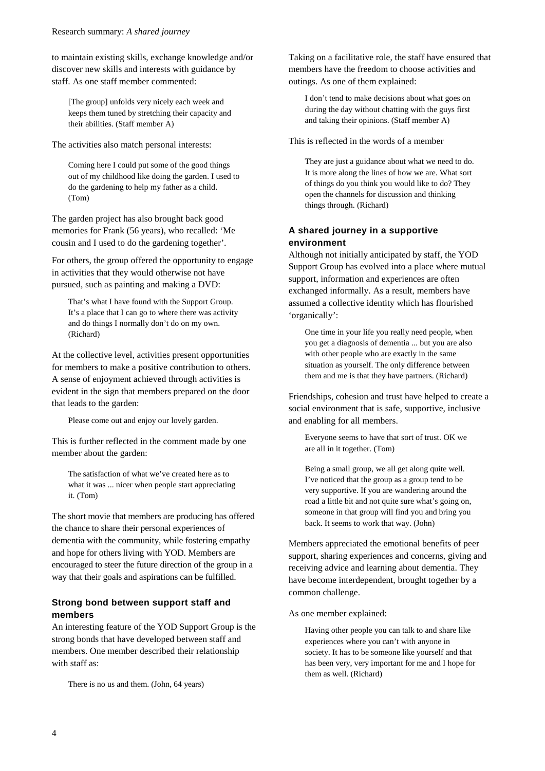to maintain existing skills, exchange knowledge and/or discover new skills and interests with guidance by staff. As one staff member commented:

[The group] unfolds very nicely each week and keeps them tuned by stretching their capacity and their abilities. (Staff member A)

The activities also match personal interests:

Coming here I could put some of the good things out of my childhood like doing the garden. I used to do the gardening to help my father as a child. (Tom)

The garden project has also brought back good memories for Frank (56 years), who recalled: 'Me cousin and I used to do the gardening together'.

For others, the group offered the opportunity to engage in activities that they would otherwise not have pursued, such as painting and making a DVD:

That's what I have found with the Support Group. It's a place that I can go to where there was activity and do things I normally don't do on my own. (Richard)

At the collective level, activities present opportunities for members to make a positive contribution to others. A sense of enjoyment achieved through activities is evident in the sign that members prepared on the door that leads to the garden:

Please come out and enjoy our lovely garden.

This is further reflected in the comment made by one member about the garden:

The satisfaction of what we've created here as to what it was ... nicer when people start appreciating it. (Tom)

The short movie that members are producing has offered the chance to share their personal experiences of dementia with the community, while fostering empathy and hope for others living with YOD. Members are encouraged to steer the future direction of the group in a way that their goals and aspirations can be fulfilled.

#### **Strong bond between support staff and members**

An interesting feature of the YOD Support Group is the strong bonds that have developed between staff and members. One member described their relationship with staff as:

There is no us and them. (John, 64 years)

Taking on a facilitative role, the staff have ensured that members have the freedom to choose activities and outings. As one of them explained:

I don't tend to make decisions about what goes on during the day without chatting with the guys first and taking their opinions. (Staff member A)

This is reflected in the words of a member

They are just a guidance about what we need to do. It is more along the lines of how we are. What sort of things do you think you would like to do? They open the channels for discussion and thinking things through. (Richard)

#### **A shared journey in a supportive environment**

Although not initially anticipated by staff, the YOD Support Group has evolved into a place where mutual support, information and experiences are often exchanged informally. As a result, members have assumed a collective identity which has flourished 'organically':

One time in your life you really need people, when you get a diagnosis of dementia ... but you are also with other people who are exactly in the same situation as yourself. The only difference between them and me is that they have partners. (Richard)

Friendships, cohesion and trust have helped to create a social environment that is safe, supportive, inclusive and enabling for all members.

Everyone seems to have that sort of trust. OK we are all in it together. (Tom)

Being a small group, we all get along quite well. I've noticed that the group as a group tend to be very supportive. If you are wandering around the road a little bit and not quite sure what's going on, someone in that group will find you and bring you back. It seems to work that way. (John)

Members appreciated the emotional benefits of peer support, sharing experiences and concerns, giving and receiving advice and learning about dementia. They have become interdependent, brought together by a common challenge.

As one member explained:

Having other people you can talk to and share like experiences where you can't with anyone in society. It has to be someone like yourself and that has been very, very important for me and I hope for them as well. (Richard)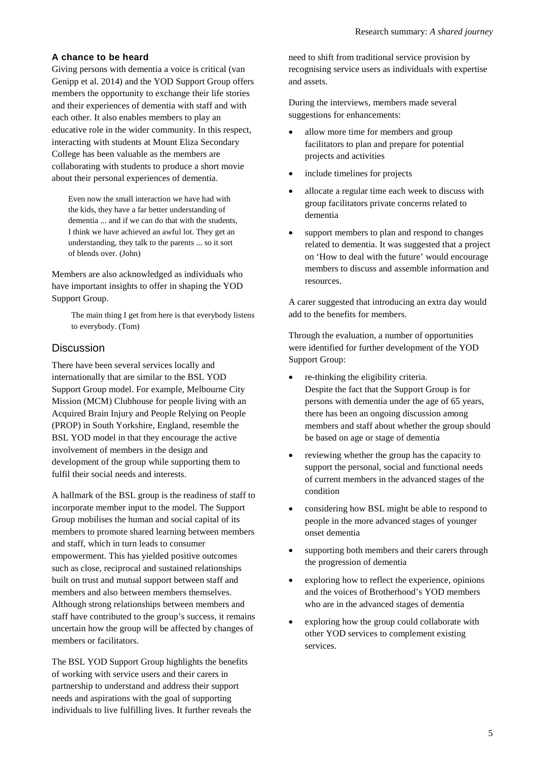#### **A chance to be heard**

Giving persons with dementia a voice is critical (van Genipp et al. 2014) and the YOD Support Group offers members the opportunity to exchange their life stories and their experiences of dementia with staff and with each other. It also enables members to play an educative role in the wider community. In this respect, interacting with students at Mount Eliza Secondary College has been valuable as the members are collaborating with students to produce a short movie about their personal experiences of dementia.

Even now the small interaction we have had with the kids, they have a far better understanding of dementia ... and if we can do that with the students, I think we have achieved an awful lot. They get an understanding, they talk to the parents ... so it sort of blends over. (John)

Members are also acknowledged as individuals who have important insights to offer in shaping the YOD Support Group.

> The main thing I get from here is that everybody listens to everybody. (Tom)

#### **Discussion**

There have been several services locally and internationally that are similar to the BSL YOD Support Group model. For example, Melbourne City Mission (MCM) Clubhouse for people living with an Acquired Brain Injury and People Relying on People (PROP) in South Yorkshire, England, resemble the BSL YOD model in that they encourage the active involvement of members in the design and development of the group while supporting them to fulfil their social needs and interests.

A hallmark of the BSL group is the readiness of staff to incorporate member input to the model. The Support Group mobilises the human and social capital of its members to promote shared learning between members and staff, which in turn leads to consumer empowerment. This has yielded positive outcomes such as close, reciprocal and sustained relationships built on trust and mutual support between staff and members and also between members themselves. Although strong relationships between members and staff have contributed to the group's success, it remains uncertain how the group will be affected by changes of members or facilitators.

The BSL YOD Support Group highlights the benefits of working with service users and their carers in partnership to understand and address their support needs and aspirations with the goal of supporting individuals to live fulfilling lives. It further reveals the

need to shift from traditional service provision by recognising service users as individuals with expertise and assets.

During the interviews, members made several suggestions for enhancements:

- allow more time for members and group facilitators to plan and prepare for potential projects and activities
- include timelines for projects
- allocate a regular time each week to discuss with group facilitators private concerns related to dementia
- support members to plan and respond to changes related to dementia. It was suggested that a project on 'How to deal with the future' would encourage members to discuss and assemble information and resources.

A carer suggested that introducing an extra day would add to the benefits for members.

Through the evaluation, a number of opportunities were identified for further development of the YOD Support Group:

- re-thinking the eligibility criteria. Despite the fact that the Support Group is for persons with dementia under the age of 65 years, there has been an ongoing discussion among members and staff about whether the group should be based on age or stage of dementia
- reviewing whether the group has the capacity to support the personal, social and functional needs of current members in the advanced stages of the condition
- considering how BSL might be able to respond to people in the more advanced stages of younger onset dementia
- supporting both members and their carers through the progression of dementia
- exploring how to reflect the experience, opinions and the voices of Brotherhood's YOD members who are in the advanced stages of dementia
- exploring how the group could collaborate with other YOD services to complement existing services.